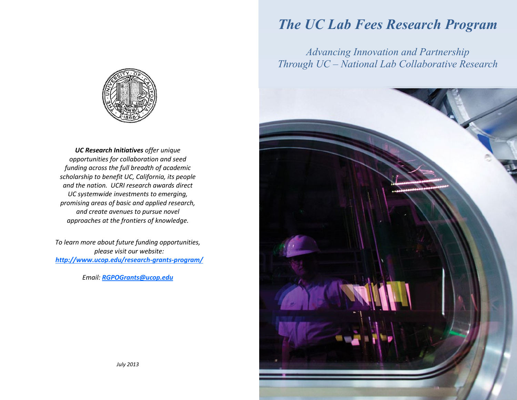

*UC Research Initiatives offer unique opportunities for collaboration and seed funding across the full breadth of academic scholarship to benefit UC, California, its people and the nation. UCRI research awards direct UC systemwide investments to emerging, promising areas of basic and applied research, and create avenues to pursue novel approaches at the frontiers of knowledge.*

*To learn more about future funding opportunities, please visit our website: [http://www.ucop.edu/research-grants-program/](http://www.ucop.edu/research-grants-program/funding-opportunities/index.html)*

*Email: [RGPOGrants@ucop.edu](mailto:RGPOGrants@ucop.edu)*

## *The UC Lab Fees Research Program*

*Advancing Innovation and Partnership Through UC – National Lab Collaborative Research*